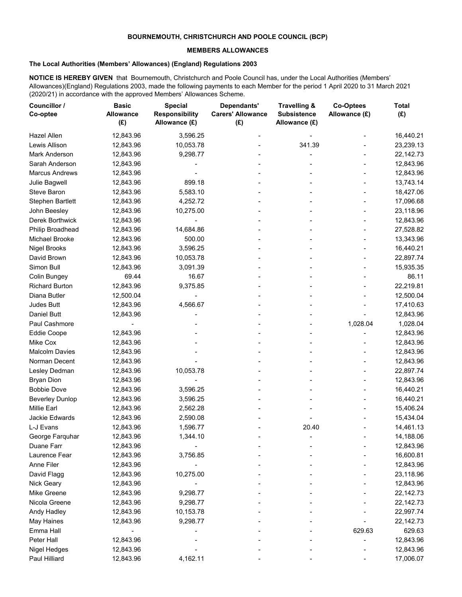## **BOURNEMOUTH, CHRISTCHURCH AND POOLE COUNCIL (BCP)**

## **MEMBERS ALLOWANCES**

## **The Local Authorities (Members' Allowances) (England) Regulations 2003**

**NOTICE IS HEREBY GIVEN** that Bournemouth, Christchurch and Poole Council has, under the Local Authorities (Members' Allowances)(England) Regulations 2003, made the following payments to each Member for the period 1 April 2020 to 31 March 2021 (2020/21) in accordance with the approved Members' Allowances Scheme.

| Councillor /<br>Co-optee               | <b>Basic</b><br>Allowance<br>(E) | <b>Special</b><br><b>Responsibility</b><br>Allowance (£) | Dependants'<br><b>Carers' Allowance</b><br>(E) | Travelling &<br><b>Subsistence</b><br>Allowance (£) | <b>Co-Optees</b><br>Allowance (£) | <b>Total</b><br>(E) |
|----------------------------------------|----------------------------------|----------------------------------------------------------|------------------------------------------------|-----------------------------------------------------|-----------------------------------|---------------------|
| <b>Hazel Allen</b>                     | 12,843.96                        | 3,596.25                                                 |                                                |                                                     |                                   | 16,440.21           |
| Lewis Allison                          | 12,843.96                        | 10,053.78                                                |                                                | 341.39                                              |                                   | 23,239.13           |
| Mark Anderson                          | 12,843.96                        | 9,298.77                                                 |                                                |                                                     |                                   | 22,142.73           |
| Sarah Anderson                         | 12,843.96                        |                                                          |                                                |                                                     |                                   | 12,843.96           |
| <b>Marcus Andrews</b>                  | 12,843.96                        |                                                          |                                                |                                                     |                                   | 12,843.96           |
| Julie Bagwell                          | 12,843.96                        | 899.18                                                   |                                                |                                                     |                                   | 13,743.14           |
| Steve Baron                            | 12,843.96                        | 5,583.10                                                 |                                                |                                                     |                                   | 18,427.06           |
| <b>Stephen Bartlett</b>                | 12,843.96                        | 4,252.72                                                 |                                                |                                                     |                                   | 17,096.68           |
| John Beesley                           | 12,843.96                        | 10,275.00                                                |                                                |                                                     |                                   | 23,118.96           |
| Derek Borthwick                        | 12,843.96                        |                                                          |                                                |                                                     |                                   | 12,843.96           |
| Philip Broadhead                       | 12,843.96                        | 14,684.86                                                |                                                |                                                     |                                   | 27,528.82           |
| Michael Brooke                         | 12,843.96                        | 500.00                                                   |                                                |                                                     |                                   | 13,343.96           |
| <b>Nigel Brooks</b>                    | 12,843.96                        | 3,596.25                                                 |                                                |                                                     |                                   | 16,440.21           |
| David Brown                            | 12,843.96                        | 10,053.78                                                |                                                |                                                     |                                   | 22,897.74           |
| Simon Bull                             | 12,843.96                        | 3,091.39                                                 |                                                |                                                     |                                   | 15,935.35           |
| Colin Bungey                           | 69.44                            | 16.67                                                    |                                                |                                                     |                                   | 86.11               |
| <b>Richard Burton</b>                  | 12,843.96                        | 9,375.85                                                 |                                                |                                                     |                                   | 22,219.81           |
| Diana Butler                           | 12,500.04                        |                                                          |                                                |                                                     |                                   | 12,500.04           |
| Judes Butt                             |                                  |                                                          |                                                |                                                     |                                   |                     |
| Daniel Butt                            | 12,843.96                        | 4,566.67                                                 |                                                |                                                     |                                   | 17,410.63           |
|                                        | 12,843.96                        |                                                          |                                                |                                                     |                                   | 12,843.96           |
| Paul Cashmore                          |                                  |                                                          |                                                |                                                     | 1,028.04                          | 1,028.04            |
| <b>Eddie Coope</b>                     | 12,843.96                        |                                                          |                                                |                                                     |                                   | 12,843.96           |
| Mike Cox                               | 12,843.96                        |                                                          |                                                |                                                     |                                   | 12,843.96           |
| <b>Malcolm Davies</b><br>Norman Decent | 12,843.96                        |                                                          |                                                |                                                     |                                   | 12,843.96           |
|                                        | 12,843.96                        |                                                          |                                                |                                                     |                                   | 12,843.96           |
| Lesley Dedman                          | 12,843.96                        | 10,053.78                                                |                                                |                                                     |                                   | 22,897.74           |
| <b>Bryan Dion</b>                      | 12,843.96                        |                                                          |                                                |                                                     |                                   | 12,843.96           |
| <b>Bobbie Dove</b>                     | 12,843.96                        | 3,596.25                                                 |                                                |                                                     |                                   | 16,440.21           |
| <b>Beverley Dunlop</b>                 | 12,843.96                        | 3,596.25                                                 |                                                |                                                     |                                   | 16,440.21           |
| <b>Millie Earl</b>                     | 12,843.96                        | 2,562.28                                                 |                                                |                                                     |                                   | 15,406.24           |
| Jackie Edwards                         | 12,843.96                        | 2,590.08                                                 |                                                |                                                     |                                   | 15,434.04           |
| L-J Evans                              | 12,843.96                        | 1,596.77                                                 |                                                | 20.40                                               |                                   | 14,461.13           |
| George Farquhar                        | 12,843.96                        | 1,344.10                                                 |                                                |                                                     |                                   | 14,188.06           |
| Duane Farr                             | 12,843.96                        |                                                          |                                                |                                                     |                                   | 12,843.96           |
| Laurence Fear                          | 12,843.96                        | 3,756.85                                                 |                                                |                                                     |                                   | 16,600.81           |
| Anne Filer                             | 12,843.96                        |                                                          |                                                |                                                     |                                   | 12,843.96           |
| David Flagg                            | 12,843.96                        | 10,275.00                                                |                                                |                                                     |                                   | 23,118.96           |
| Nick Geary                             | 12,843.96                        |                                                          |                                                |                                                     |                                   | 12,843.96           |
| Mike Greene                            | 12,843.96                        | 9,298.77                                                 |                                                |                                                     |                                   | 22,142.73           |
| Nicola Greene                          | 12,843.96                        | 9,298.77                                                 |                                                |                                                     |                                   | 22,142.73           |
| Andy Hadley                            | 12,843.96                        | 10,153.78                                                |                                                |                                                     |                                   | 22,997.74           |
| May Haines                             | 12,843.96                        | 9,298.77                                                 |                                                |                                                     |                                   | 22,142.73           |
| Emma Hall                              |                                  |                                                          |                                                |                                                     | 629.63                            | 629.63              |
| Peter Hall                             | 12,843.96                        |                                                          |                                                |                                                     |                                   | 12,843.96           |
| Nigel Hedges                           | 12,843.96                        |                                                          |                                                |                                                     |                                   | 12,843.96           |
| Paul Hilliard                          | 12,843.96                        | 4,162.11                                                 |                                                |                                                     |                                   | 17,006.07           |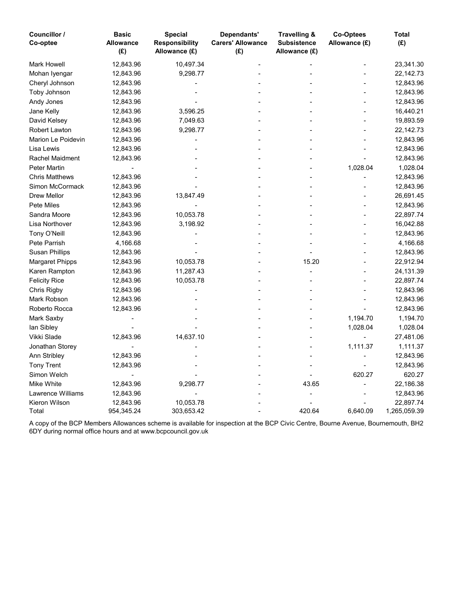| Councillor /<br>Co-optee | <b>Basic</b><br><b>Allowance</b><br>(E) | <b>Special</b><br><b>Responsibility</b><br>Allowance (£) | Dependants'<br><b>Carers' Allowance</b><br>(E) | <b>Travelling &amp;</b><br><b>Subsistence</b><br>Allowance (£) | <b>Co-Optees</b><br>Allowance (£) | <b>Total</b><br>(E) |
|--------------------------|-----------------------------------------|----------------------------------------------------------|------------------------------------------------|----------------------------------------------------------------|-----------------------------------|---------------------|
| <b>Mark Howell</b>       | 12,843.96                               | 10,497.34                                                |                                                |                                                                |                                   | 23,341.30           |
| Mohan Iyengar            | 12,843.96                               | 9,298.77                                                 |                                                |                                                                |                                   | 22,142.73           |
| Cheryl Johnson           | 12,843.96                               |                                                          |                                                |                                                                |                                   | 12,843.96           |
| Toby Johnson             | 12,843.96                               |                                                          |                                                |                                                                |                                   | 12,843.96           |
| Andy Jones               | 12,843.96                               |                                                          |                                                |                                                                |                                   | 12,843.96           |
| Jane Kelly               | 12,843.96                               | 3,596.25                                                 |                                                |                                                                |                                   | 16,440.21           |
| David Kelsey             | 12,843.96                               | 7,049.63                                                 |                                                |                                                                |                                   | 19,893.59           |
| Robert Lawton            | 12,843.96                               | 9,298.77                                                 |                                                |                                                                |                                   | 22,142.73           |
| Marion Le Poidevin       | 12,843.96                               |                                                          |                                                |                                                                |                                   | 12,843.96           |
| Lisa Lewis               | 12,843.96                               |                                                          |                                                |                                                                |                                   | 12,843.96           |
| Rachel Maidment          | 12,843.96                               |                                                          |                                                |                                                                |                                   | 12,843.96           |
| <b>Peter Martin</b>      |                                         |                                                          |                                                |                                                                | 1,028.04                          | 1,028.04            |
| <b>Chris Matthews</b>    | 12,843.96                               |                                                          |                                                |                                                                |                                   | 12,843.96           |
| Simon McCormack          | 12,843.96                               |                                                          |                                                |                                                                |                                   | 12,843.96           |
| <b>Drew Mellor</b>       | 12,843.96                               | 13,847.49                                                |                                                |                                                                |                                   | 26,691.45           |
| <b>Pete Miles</b>        | 12,843.96                               |                                                          |                                                |                                                                |                                   | 12,843.96           |
| Sandra Moore             | 12,843.96                               | 10,053.78                                                |                                                |                                                                |                                   | 22,897.74           |
| Lisa Northover           | 12,843.96                               | 3,198.92                                                 |                                                |                                                                |                                   | 16,042.88           |
| Tony O'Neill             | 12,843.96                               |                                                          |                                                |                                                                |                                   | 12,843.96           |
| Pete Parrish             | 4,166.68                                |                                                          |                                                |                                                                |                                   | 4,166.68            |
| <b>Susan Phillips</b>    | 12,843.96                               |                                                          |                                                |                                                                |                                   | 12,843.96           |
| <b>Margaret Phipps</b>   | 12,843.96                               | 10,053.78                                                |                                                | 15.20                                                          |                                   | 22,912.94           |
| Karen Rampton            | 12,843.96                               | 11,287.43                                                |                                                |                                                                |                                   | 24,131.39           |
| <b>Felicity Rice</b>     | 12,843.96                               | 10,053.78                                                |                                                |                                                                |                                   | 22,897.74           |
| Chris Rigby              | 12,843.96                               |                                                          |                                                |                                                                |                                   | 12,843.96           |
| Mark Robson              | 12,843.96                               |                                                          |                                                |                                                                |                                   | 12,843.96           |
| Roberto Rocca            | 12,843.96                               |                                                          |                                                |                                                                |                                   | 12,843.96           |
| Mark Saxby               |                                         |                                                          |                                                |                                                                | 1,194.70                          | 1,194.70            |
| lan Sibley               |                                         |                                                          |                                                |                                                                | 1,028.04                          | 1,028.04            |
| Vikki Slade              | 12,843.96                               | 14,637.10                                                |                                                |                                                                |                                   | 27,481.06           |
| Jonathan Storey          |                                         |                                                          |                                                |                                                                | 1,111.37                          | 1,111.37            |
| Ann Stribley             | 12,843.96                               |                                                          |                                                |                                                                |                                   | 12,843.96           |
| <b>Tony Trent</b>        | 12,843.96                               |                                                          |                                                |                                                                |                                   | 12,843.96           |
| Simon Welch              |                                         |                                                          |                                                |                                                                | 620.27                            | 620.27              |
| Mike White               | 12,843.96                               | 9,298.77                                                 |                                                | 43.65                                                          |                                   | 22,186.38           |
| <b>Lawrence Williams</b> | 12,843.96                               |                                                          |                                                |                                                                |                                   | 12,843.96           |
| Kieron Wilson            | 12,843.96                               | 10,053.78                                                |                                                |                                                                |                                   | 22,897.74           |
| Total                    | 954,345.24                              | 303,653.42                                               |                                                | 420.64                                                         | 6,640.09                          | 1,265,059.39        |

A copy of the BCP Members Allowances scheme is available for inspection at the BCP Civic Centre, Bourne Avenue, Bournemouth, BH2 6DY during normal office hours and at www.bcpcouncil.gov.uk